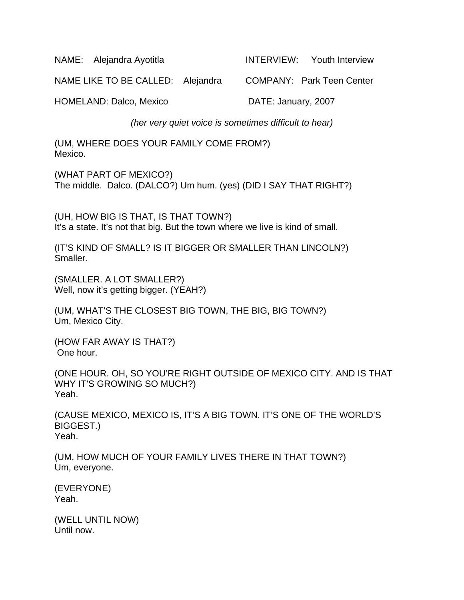NAME: Alejandra Ayotitla INTERVIEW: Youth Interview

NAME LIKE TO BE CALLED: Alejandra COMPANY: Park Teen Center

HOMELAND: Dalco, Mexico DATE: January, 2007

*(her very quiet voice is sometimes difficult to hear)* 

(UM, WHERE DOES YOUR FAMILY COME FROM?) Mexico.

(WHAT PART OF MEXICO?) The middle. Dalco. (DALCO?) Um hum. (yes) (DID I SAY THAT RIGHT?)

(UH, HOW BIG IS THAT, IS THAT TOWN?) It's a state. It's not that big. But the town where we live is kind of small.

(IT'S KIND OF SMALL? IS IT BIGGER OR SMALLER THAN LINCOLN?) Smaller.

(SMALLER. A LOT SMALLER?) Well, now it's getting bigger. (YEAH?)

(UM, WHAT'S THE CLOSEST BIG TOWN, THE BIG, BIG TOWN?) Um, Mexico City.

(HOW FAR AWAY IS THAT?) One hour.

(ONE HOUR. OH, SO YOU'RE RIGHT OUTSIDE OF MEXICO CITY. AND IS THAT WHY IT'S GROWING SO MUCH?) Yeah.

(CAUSE MEXICO, MEXICO IS, IT'S A BIG TOWN. IT'S ONE OF THE WORLD'S BIGGEST.) Yeah.

(UM, HOW MUCH OF YOUR FAMILY LIVES THERE IN THAT TOWN?) Um, everyone.

(EVERYONE) Yeah.

(WELL UNTIL NOW) Until now.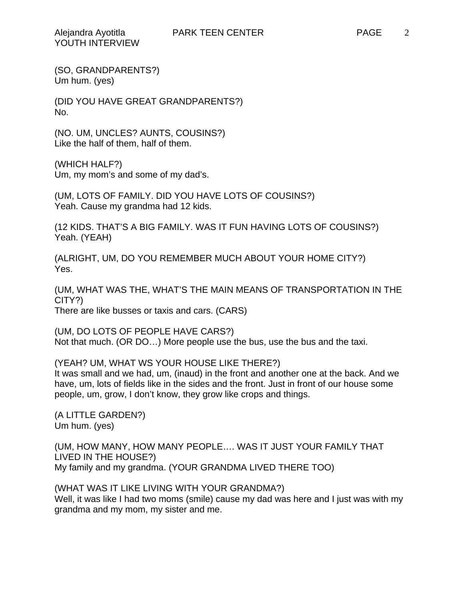(DID YOU HAVE GREAT GRANDPARENTS?) No.

(NO. UM, UNCLES? AUNTS, COUSINS?) Like the half of them, half of them.

(WHICH HALF?) Um, my mom's and some of my dad's.

(UM, LOTS OF FAMILY. DID YOU HAVE LOTS OF COUSINS?) Yeah. Cause my grandma had 12 kids.

(12 KIDS. THAT'S A BIG FAMILY. WAS IT FUN HAVING LOTS OF COUSINS?) Yeah. (YEAH)

(ALRIGHT, UM, DO YOU REMEMBER MUCH ABOUT YOUR HOME CITY?) Yes.

(UM, WHAT WAS THE, WHAT'S THE MAIN MEANS OF TRANSPORTATION IN THE CITY?) There are like busses or taxis and cars. (CARS)

(UM, DO LOTS OF PEOPLE HAVE CARS?) Not that much. (OR DO…) More people use the bus, use the bus and the taxi.

(YEAH? UM, WHAT WS YOUR HOUSE LIKE THERE?) It was small and we had, um, (inaud) in the front and another one at the back. And we have, um, lots of fields like in the sides and the front. Just in front of our house some people, um, grow, I don't know, they grow like crops and things.

(A LITTLE GARDEN?) Um hum. (yes)

(UM, HOW MANY, HOW MANY PEOPLE…. WAS IT JUST YOUR FAMILY THAT LIVED IN THE HOUSE?) My family and my grandma. (YOUR GRANDMA LIVED THERE TOO)

(WHAT WAS IT LIKE LIVING WITH YOUR GRANDMA?) Well, it was like I had two moms (smile) cause my dad was here and I just was with my grandma and my mom, my sister and me.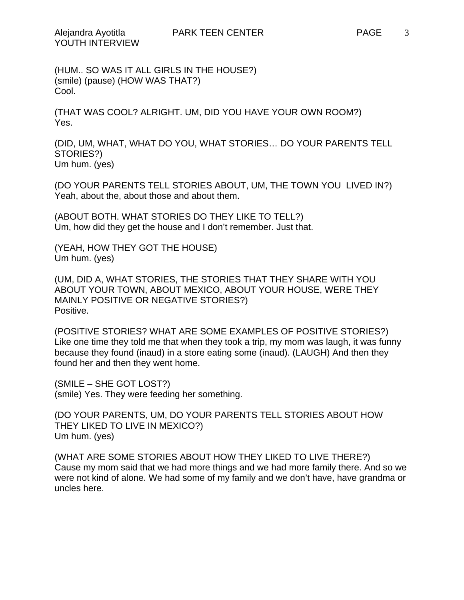(HUM.. SO WAS IT ALL GIRLS IN THE HOUSE?) (smile) (pause) (HOW WAS THAT?) Cool.

(THAT WAS COOL? ALRIGHT. UM, DID YOU HAVE YOUR OWN ROOM?) Yes.

(DID, UM, WHAT, WHAT DO YOU, WHAT STORIES… DO YOUR PARENTS TELL STORIES?) Um hum. (yes)

(DO YOUR PARENTS TELL STORIES ABOUT, UM, THE TOWN YOU LIVED IN?) Yeah, about the, about those and about them.

(ABOUT BOTH. WHAT STORIES DO THEY LIKE TO TELL?) Um, how did they get the house and I don't remember. Just that.

(YEAH, HOW THEY GOT THE HOUSE) Um hum. (yes)

(UM, DID A, WHAT STORIES, THE STORIES THAT THEY SHARE WITH YOU ABOUT YOUR TOWN, ABOUT MEXICO, ABOUT YOUR HOUSE, WERE THEY MAINLY POSITIVE OR NEGATIVE STORIES?) Positive.

(POSITIVE STORIES? WHAT ARE SOME EXAMPLES OF POSITIVE STORIES?) Like one time they told me that when they took a trip, my mom was laugh, it was funny because they found (inaud) in a store eating some (inaud). (LAUGH) And then they found her and then they went home.

(SMILE – SHE GOT LOST?) (smile) Yes. They were feeding her something.

(DO YOUR PARENTS, UM, DO YOUR PARENTS TELL STORIES ABOUT HOW THEY LIKED TO LIVE IN MEXICO?) Um hum. (yes)

(WHAT ARE SOME STORIES ABOUT HOW THEY LIKED TO LIVE THERE?) Cause my mom said that we had more things and we had more family there. And so we were not kind of alone. We had some of my family and we don't have, have grandma or uncles here.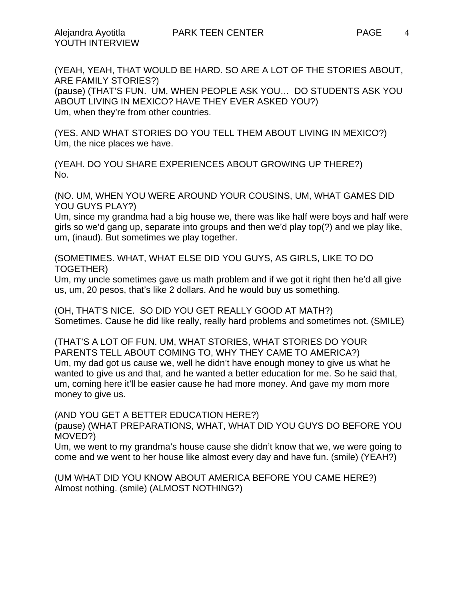4

(YEAH, YEAH, THAT WOULD BE HARD. SO ARE A LOT OF THE STORIES ABOUT, ARE FAMILY STORIES?) (pause) (THAT'S FUN. UM, WHEN PEOPLE ASK YOU… DO STUDENTS ASK YOU ABOUT LIVING IN MEXICO? HAVE THEY EVER ASKED YOU?) Um, when they're from other countries.

(YES. AND WHAT STORIES DO YOU TELL THEM ABOUT LIVING IN MEXICO?) Um, the nice places we have.

(YEAH. DO YOU SHARE EXPERIENCES ABOUT GROWING UP THERE?) No.

(NO. UM, WHEN YOU WERE AROUND YOUR COUSINS, UM, WHAT GAMES DID YOU GUYS PLAY?)

Um, since my grandma had a big house we, there was like half were boys and half were girls so we'd gang up, separate into groups and then we'd play top(?) and we play like, um, (inaud). But sometimes we play together.

(SOMETIMES. WHAT, WHAT ELSE DID YOU GUYS, AS GIRLS, LIKE TO DO TOGETHER)

Um, my uncle sometimes gave us math problem and if we got it right then he'd all give us, um, 20 pesos, that's like 2 dollars. And he would buy us something.

(OH, THAT'S NICE. SO DID YOU GET REALLY GOOD AT MATH?) Sometimes. Cause he did like really, really hard problems and sometimes not. (SMILE)

(THAT'S A LOT OF FUN. UM, WHAT STORIES, WHAT STORIES DO YOUR PARENTS TELL ABOUT COMING TO, WHY THEY CAME TO AMERICA?) Um, my dad got us cause we, well he didn't have enough money to give us what he wanted to give us and that, and he wanted a better education for me. So he said that, um, coming here it'll be easier cause he had more money. And gave my mom more money to give us.

(AND YOU GET A BETTER EDUCATION HERE?)

(pause) (WHAT PREPARATIONS, WHAT, WHAT DID YOU GUYS DO BEFORE YOU MOVED?)

Um, we went to my grandma's house cause she didn't know that we, we were going to come and we went to her house like almost every day and have fun. (smile) (YEAH?)

(UM WHAT DID YOU KNOW ABOUT AMERICA BEFORE YOU CAME HERE?) Almost nothing. (smile) (ALMOST NOTHING?)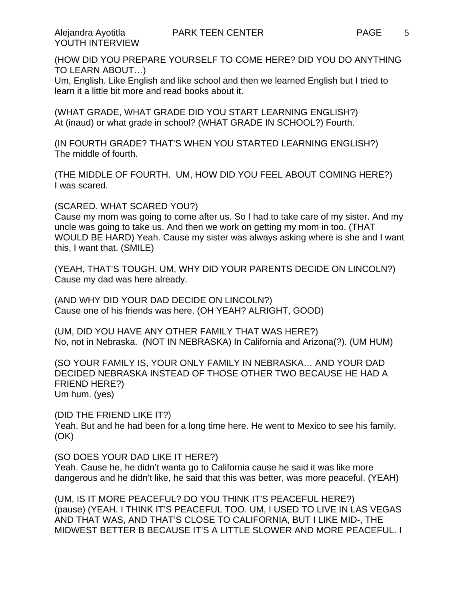(HOW DID YOU PREPARE YOURSELF TO COME HERE? DID YOU DO ANYTHING TO LEARN ABOUT…)

Um, English. Like English and like school and then we learned English but I tried to learn it a little bit more and read books about it.

(WHAT GRADE, WHAT GRADE DID YOU START LEARNING ENGLISH?) At (inaud) or what grade in school? (WHAT GRADE IN SCHOOL?) Fourth.

(IN FOURTH GRADE? THAT'S WHEN YOU STARTED LEARNING ENGLISH?) The middle of fourth.

(THE MIDDLE OF FOURTH. UM, HOW DID YOU FEEL ABOUT COMING HERE?) I was scared.

(SCARED. WHAT SCARED YOU?)

Cause my mom was going to come after us. So I had to take care of my sister. And my uncle was going to take us. And then we work on getting my mom in too. (THAT WOULD BE HARD) Yeah. Cause my sister was always asking where is she and I want this, I want that. (SMILE)

(YEAH, THAT'S TOUGH. UM, WHY DID YOUR PARENTS DECIDE ON LINCOLN?) Cause my dad was here already.

(AND WHY DID YOUR DAD DECIDE ON LINCOLN?) Cause one of his friends was here. (OH YEAH? ALRIGHT, GOOD)

(UM, DID YOU HAVE ANY OTHER FAMILY THAT WAS HERE?) No, not in Nebraska. (NOT IN NEBRASKA) In California and Arizona(?). (UM HUM)

(SO YOUR FAMILY IS, YOUR ONLY FAMILY IN NEBRASKA… AND YOUR DAD DECIDED NEBRASKA INSTEAD OF THOSE OTHER TWO BECAUSE HE HAD A FRIEND HERE?) Um hum. (yes)

(DID THE FRIEND LIKE IT?) Yeah. But and he had been for a long time here. He went to Mexico to see his family. (OK)

(SO DOES YOUR DAD LIKE IT HERE?)

Yeah. Cause he, he didn't wanta go to California cause he said it was like more dangerous and he didn't like, he said that this was better, was more peaceful. (YEAH)

(UM, IS IT MORE PEACEFUL? DO YOU THINK IT'S PEACEFUL HERE?) (pause) (YEAH. I THINK IT'S PEACEFUL TOO. UM, I USED TO LIVE IN LAS VEGAS AND THAT WAS, AND THAT'S CLOSE TO CALIFORNIA, BUT I LIKE MID-, THE MIDWEST BETTER B BECAUSE IT'S A LITTLE SLOWER AND MORE PEACEFUL. I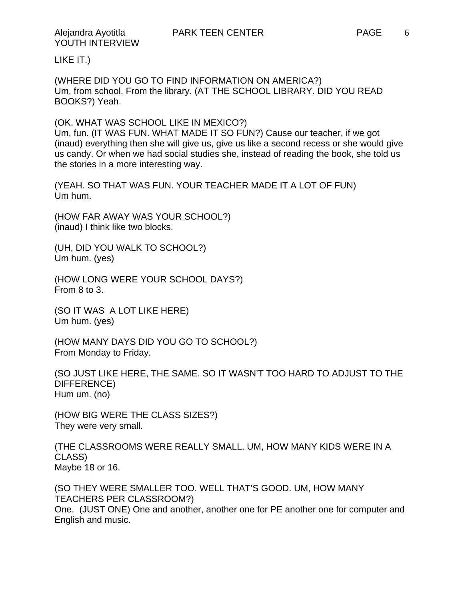LIKE IT.)

(WHERE DID YOU GO TO FIND INFORMATION ON AMERICA?) Um, from school. From the library. (AT THE SCHOOL LIBRARY. DID YOU READ BOOKS?) Yeah.

(OK. WHAT WAS SCHOOL LIKE IN MEXICO?) Um, fun. (IT WAS FUN. WHAT MADE IT SO FUN?) Cause our teacher, if we got (inaud) everything then she will give us, give us like a second recess or she would give us candy. Or when we had social studies she, instead of reading the book, she told us

the stories in a more interesting way.

(YEAH. SO THAT WAS FUN. YOUR TEACHER MADE IT A LOT OF FUN) Um hum.

(HOW FAR AWAY WAS YOUR SCHOOL?) (inaud) I think like two blocks.

(UH, DID YOU WALK TO SCHOOL?) Um hum. (yes)

(HOW LONG WERE YOUR SCHOOL DAYS?) From 8 to 3.

(SO IT WAS A LOT LIKE HERE) Um hum. (yes)

(HOW MANY DAYS DID YOU GO TO SCHOOL?) From Monday to Friday.

(SO JUST LIKE HERE, THE SAME. SO IT WASN'T TOO HARD TO ADJUST TO THE DIFFERENCE) Hum um. (no)

(HOW BIG WERE THE CLASS SIZES?) They were very small.

(THE CLASSROOMS WERE REALLY SMALL. UM, HOW MANY KIDS WERE IN A CLASS) Maybe 18 or 16.

(SO THEY WERE SMALLER TOO. WELL THAT'S GOOD. UM, HOW MANY TEACHERS PER CLASSROOM?) One. (JUST ONE) One and another, another one for PE another one for computer and English and music.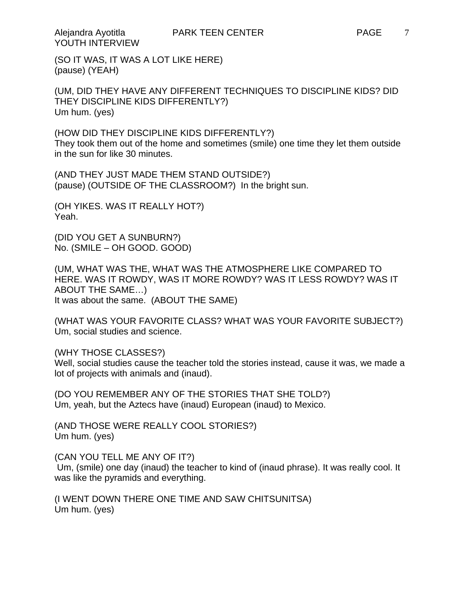(SO IT WAS, IT WAS A LOT LIKE HERE) (pause) (YEAH)

(UM, DID THEY HAVE ANY DIFFERENT TECHNIQUES TO DISCIPLINE KIDS? DID THEY DISCIPLINE KIDS DIFFERENTLY?) Um hum. (yes)

(HOW DID THEY DISCIPLINE KIDS DIFFERENTLY?) They took them out of the home and sometimes (smile) one time they let them outside in the sun for like 30 minutes.

(AND THEY JUST MADE THEM STAND OUTSIDE?) (pause) (OUTSIDE OF THE CLASSROOM?) In the bright sun.

(OH YIKES. WAS IT REALLY HOT?) Yeah.

(DID YOU GET A SUNBURN?) No. (SMILE – OH GOOD. GOOD)

(UM, WHAT WAS THE, WHAT WAS THE ATMOSPHERE LIKE COMPARED TO HERE. WAS IT ROWDY, WAS IT MORE ROWDY? WAS IT LESS ROWDY? WAS IT ABOUT THE SAME…) It was about the same. (ABOUT THE SAME)

(WHAT WAS YOUR FAVORITE CLASS? WHAT WAS YOUR FAVORITE SUBJECT?) Um, social studies and science.

(WHY THOSE CLASSES?)

Well, social studies cause the teacher told the stories instead, cause it was, we made a lot of projects with animals and (inaud).

(DO YOU REMEMBER ANY OF THE STORIES THAT SHE TOLD?) Um, yeah, but the Aztecs have (inaud) European (inaud) to Mexico.

(AND THOSE WERE REALLY COOL STORIES?) Um hum. (yes)

(CAN YOU TELL ME ANY OF IT?)

 Um, (smile) one day (inaud) the teacher to kind of (inaud phrase). It was really cool. It was like the pyramids and everything.

(I WENT DOWN THERE ONE TIME AND SAW CHITSUNITSA) Um hum. (yes)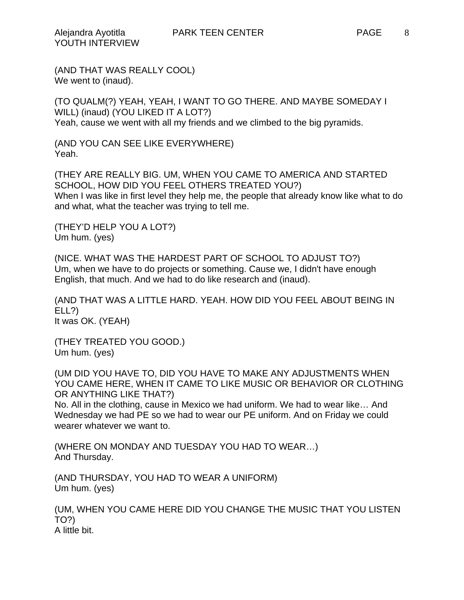(AND THAT WAS REALLY COOL) We went to (inaud).

(TO QUALM(?) YEAH, YEAH, I WANT TO GO THERE. AND MAYBE SOMEDAY I WILL) (inaud) (YOU LIKED IT A LOT?) Yeah, cause we went with all my friends and we climbed to the big pyramids.

(AND YOU CAN SEE LIKE EVERYWHERE) Yeah.

(THEY ARE REALLY BIG. UM, WHEN YOU CAME TO AMERICA AND STARTED SCHOOL, HOW DID YOU FEEL OTHERS TREATED YOU?) When I was like in first level they help me, the people that already know like what to do and what, what the teacher was trying to tell me.

(THEY'D HELP YOU A LOT?) Um hum. (yes)

(NICE. WHAT WAS THE HARDEST PART OF SCHOOL TO ADJUST TO?) Um, when we have to do projects or something. Cause we, I didn't have enough English, that much. And we had to do like research and (inaud).

(AND THAT WAS A LITTLE HARD. YEAH. HOW DID YOU FEEL ABOUT BEING IN ELL?) It was OK. (YEAH)

(THEY TREATED YOU GOOD.) Um hum. (yes)

(UM DID YOU HAVE TO, DID YOU HAVE TO MAKE ANY ADJUSTMENTS WHEN YOU CAME HERE, WHEN IT CAME TO LIKE MUSIC OR BEHAVIOR OR CLOTHING OR ANYTHING LIKE THAT?)

No. All in the clothing, cause in Mexico we had uniform. We had to wear like… And Wednesday we had PE so we had to wear our PE uniform. And on Friday we could wearer whatever we want to.

(WHERE ON MONDAY AND TUESDAY YOU HAD TO WEAR…) And Thursday.

(AND THURSDAY, YOU HAD TO WEAR A UNIFORM) Um hum. (yes)

(UM, WHEN YOU CAME HERE DID YOU CHANGE THE MUSIC THAT YOU LISTEN TO?) A little bit.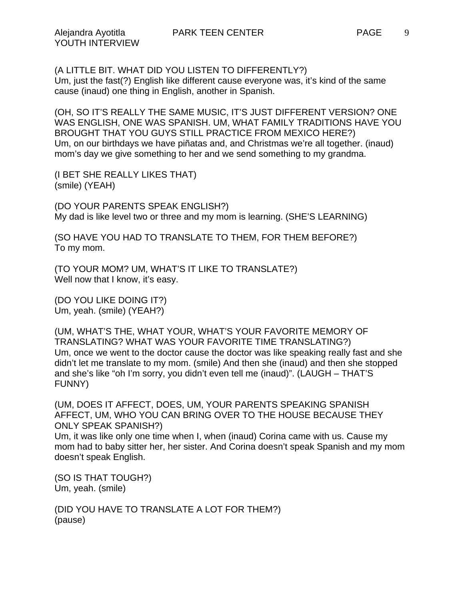(OH, SO IT'S REALLY THE SAME MUSIC, IT'S JUST DIFFERENT VERSION? ONE WAS ENGLISH, ONE WAS SPANISH. UM, WHAT FAMILY TRADITIONS HAVE YOU BROUGHT THAT YOU GUYS STILL PRACTICE FROM MEXICO HERE?) Um, on our birthdays we have piñatas and, and Christmas we're all together. (inaud) mom's day we give something to her and we send something to my grandma.

(I BET SHE REALLY LIKES THAT) (smile) (YEAH)

(DO YOUR PARENTS SPEAK ENGLISH?) My dad is like level two or three and my mom is learning. (SHE'S LEARNING)

(SO HAVE YOU HAD TO TRANSLATE TO THEM, FOR THEM BEFORE?) To my mom.

(TO YOUR MOM? UM, WHAT'S IT LIKE TO TRANSLATE?) Well now that I know, it's easy.

(DO YOU LIKE DOING IT?) Um, yeah. (smile) (YEAH?)

(UM, WHAT'S THE, WHAT YOUR, WHAT'S YOUR FAVORITE MEMORY OF TRANSLATING? WHAT WAS YOUR FAVORITE TIME TRANSLATING?) Um, once we went to the doctor cause the doctor was like speaking really fast and she didn't let me translate to my mom. (smile) And then she (inaud) and then she stopped and she's like "oh I'm sorry, you didn't even tell me (inaud)". (LAUGH – THAT'S FUNNY)

(UM, DOES IT AFFECT, DOES, UM, YOUR PARENTS SPEAKING SPANISH AFFECT, UM, WHO YOU CAN BRING OVER TO THE HOUSE BECAUSE THEY ONLY SPEAK SPANISH?) Um, it was like only one time when I, when (inaud) Corina came with us. Cause my mom had to baby sitter her, her sister. And Corina doesn't speak Spanish and my mom doesn't speak English.

(SO IS THAT TOUGH?) Um, yeah. (smile)

(DID YOU HAVE TO TRANSLATE A LOT FOR THEM?) (pause)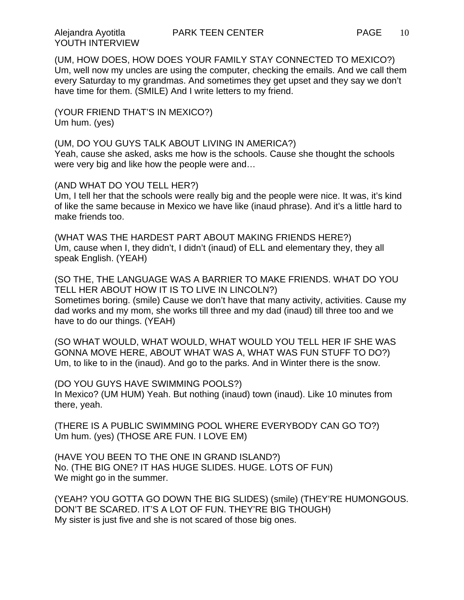(UM, HOW DOES, HOW DOES YOUR FAMILY STAY CONNECTED TO MEXICO?) Um, well now my uncles are using the computer, checking the emails. And we call them every Saturday to my grandmas. And sometimes they get upset and they say we don't have time for them. (SMILE) And I write letters to my friend.

(YOUR FRIEND THAT'S IN MEXICO?) Um hum. (yes)

(UM, DO YOU GUYS TALK ABOUT LIVING IN AMERICA?) Yeah, cause she asked, asks me how is the schools. Cause she thought the schools were very big and like how the people were and…

(AND WHAT DO YOU TELL HER?)

Um, I tell her that the schools were really big and the people were nice. It was, it's kind of like the same because in Mexico we have like (inaud phrase). And it's a little hard to make friends too.

(WHAT WAS THE HARDEST PART ABOUT MAKING FRIENDS HERE?) Um, cause when I, they didn't, I didn't (inaud) of ELL and elementary they, they all speak English. (YEAH)

(SO THE, THE LANGUAGE WAS A BARRIER TO MAKE FRIENDS. WHAT DO YOU TELL HER ABOUT HOW IT IS TO LIVE IN LINCOLN?) Sometimes boring. (smile) Cause we don't have that many activity, activities. Cause my dad works and my mom, she works till three and my dad (inaud) till three too and we have to do our things. (YEAH)

(SO WHAT WOULD, WHAT WOULD, WHAT WOULD YOU TELL HER IF SHE WAS GONNA MOVE HERE, ABOUT WHAT WAS A, WHAT WAS FUN STUFF TO DO?) Um, to like to in the (inaud). And go to the parks. And in Winter there is the snow.

(DO YOU GUYS HAVE SWIMMING POOLS?) In Mexico? (UM HUM) Yeah. But nothing (inaud) town (inaud). Like 10 minutes from there, yeah.

(THERE IS A PUBLIC SWIMMING POOL WHERE EVERYBODY CAN GO TO?) Um hum. (yes) (THOSE ARE FUN. I LOVE EM)

(HAVE YOU BEEN TO THE ONE IN GRAND ISLAND?) No. (THE BIG ONE? IT HAS HUGE SLIDES. HUGE. LOTS OF FUN) We might go in the summer.

(YEAH? YOU GOTTA GO DOWN THE BIG SLIDES) (smile) (THEY'RE HUMONGOUS. DON'T BE SCARED. IT'S A LOT OF FUN. THEY'RE BIG THOUGH) My sister is just five and she is not scared of those big ones.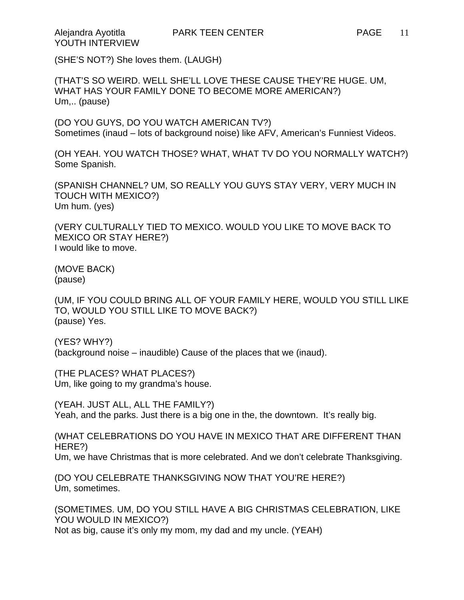YOUTH INTERVIEW

(SHE'S NOT?) She loves them. (LAUGH)

(THAT'S SO WEIRD. WELL SHE'LL LOVE THESE CAUSE THEY'RE HUGE. UM, WHAT HAS YOUR FAMILY DONE TO BECOME MORE AMERICAN?) Um,.. (pause)

(DO YOU GUYS, DO YOU WATCH AMERICAN TV?) Sometimes (inaud – lots of background noise) like AFV, American's Funniest Videos.

(OH YEAH. YOU WATCH THOSE? WHAT, WHAT TV DO YOU NORMALLY WATCH?) Some Spanish.

(SPANISH CHANNEL? UM, SO REALLY YOU GUYS STAY VERY, VERY MUCH IN TOUCH WITH MEXICO?) Um hum. (yes)

(VERY CULTURALLY TIED TO MEXICO. WOULD YOU LIKE TO MOVE BACK TO MEXICO OR STAY HERE?) I would like to move.

(MOVE BACK) (pause)

(UM, IF YOU COULD BRING ALL OF YOUR FAMILY HERE, WOULD YOU STILL LIKE TO, WOULD YOU STILL LIKE TO MOVE BACK?) (pause) Yes.

(YES? WHY?) (background noise – inaudible) Cause of the places that we (inaud).

(THE PLACES? WHAT PLACES?) Um, like going to my grandma's house.

(YEAH. JUST ALL, ALL THE FAMILY?) Yeah, and the parks. Just there is a big one in the, the downtown. It's really big.

(WHAT CELEBRATIONS DO YOU HAVE IN MEXICO THAT ARE DIFFERENT THAN HERE?) Um, we have Christmas that is more celebrated. And we don't celebrate Thanksgiving.

(DO YOU CELEBRATE THANKSGIVING NOW THAT YOU'RE HERE?) Um, sometimes.

(SOMETIMES. UM, DO YOU STILL HAVE A BIG CHRISTMAS CELEBRATION, LIKE YOU WOULD IN MEXICO?) Not as big, cause it's only my mom, my dad and my uncle. (YEAH)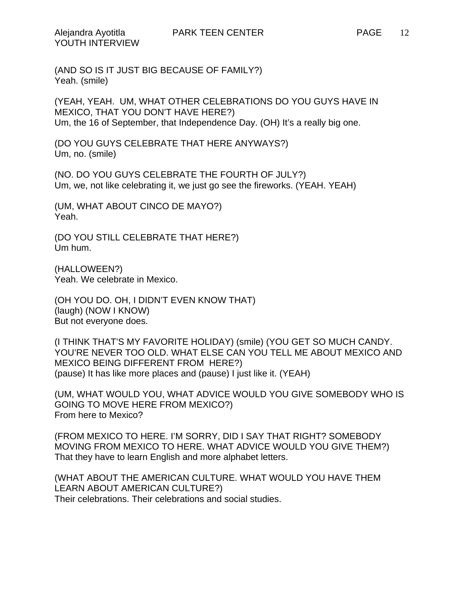(AND SO IS IT JUST BIG BECAUSE OF FAMILY?) Yeah. (smile)

(YEAH, YEAH. UM, WHAT OTHER CELEBRATIONS DO YOU GUYS HAVE IN MEXICO, THAT YOU DON'T HAVE HERE?) Um, the 16 of September, that Independence Day. (OH) It's a really big one.

(DO YOU GUYS CELEBRATE THAT HERE ANYWAYS?) Um, no. (smile)

(NO. DO YOU GUYS CELEBRATE THE FOURTH OF JULY?) Um, we, not like celebrating it, we just go see the fireworks. (YEAH. YEAH)

(UM, WHAT ABOUT CINCO DE MAYO?) Yeah.

(DO YOU STILL CELEBRATE THAT HERE?) Um hum.

(HALLOWEEN?) Yeah. We celebrate in Mexico.

(OH YOU DO. OH, I DIDN'T EVEN KNOW THAT) (laugh) (NOW I KNOW) But not everyone does.

(I THINK THAT'S MY FAVORITE HOLIDAY) (smile) (YOU GET SO MUCH CANDY. YOU'RE NEVER TOO OLD. WHAT ELSE CAN YOU TELL ME ABOUT MEXICO AND MEXICO BEING DIFFERENT FROM HERE?) (pause) It has like more places and (pause) I just like it. (YEAH)

(UM, WHAT WOULD YOU, WHAT ADVICE WOULD YOU GIVE SOMEBODY WHO IS GOING TO MOVE HERE FROM MEXICO?) From here to Mexico?

(FROM MEXICO TO HERE. I'M SORRY, DID I SAY THAT RIGHT? SOMEBODY MOVING FROM MEXICO TO HERE. WHAT ADVICE WOULD YOU GIVE THEM?) That they have to learn English and more alphabet letters.

(WHAT ABOUT THE AMERICAN CULTURE. WHAT WOULD YOU HAVE THEM LEARN ABOUT AMERICAN CULTURE?) Their celebrations. Their celebrations and social studies.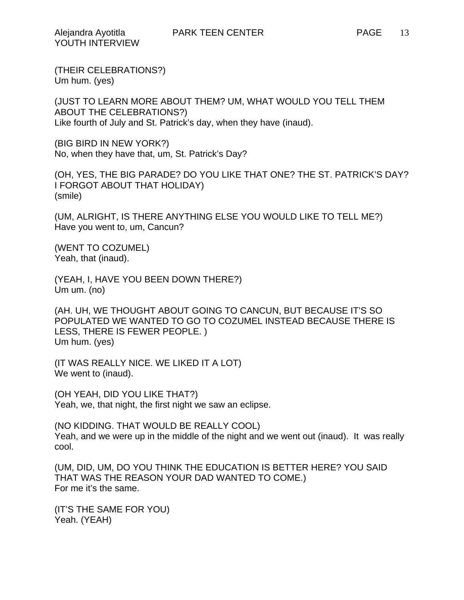(THEIR CELEBRATIONS?) Um hum. (yes)

(JUST TO LEARN MORE ABOUT THEM? UM, WHAT WOULD YOU TELL THEM ABOUT THE CELEBRATIONS?) Like fourth of July and St. Patrick's day, when they have (inaud).

(BIG BIRD IN NEW YORK?) No, when they have that, um, St. Patrick's Day?

(OH, YES, THE BIG PARADE? DO YOU LIKE THAT ONE? THE ST. PATRICK'S DAY? I FORGOT ABOUT THAT HOLIDAY) (smile)

(UM, ALRIGHT, IS THERE ANYTHING ELSE YOU WOULD LIKE TO TELL ME?) Have you went to, um, Cancun?

(WENT TO COZUMEL) Yeah, that (inaud).

(YEAH, I, HAVE YOU BEEN DOWN THERE?) Um um. (no)

(AH. UH, WE THOUGHT ABOUT GOING TO CANCUN, BUT BECAUSE IT'S SO POPULATED WE WANTED TO GO TO COZUMEL INSTEAD BECAUSE THERE IS LESS, THERE IS FEWER PEOPLE. ) Um hum. (yes)

(IT WAS REALLY NICE. WE LIKED IT A LOT) We went to (inaud).

(OH YEAH, DID YOU LIKE THAT?) Yeah, we, that night, the first night we saw an eclipse.

(NO KIDDING. THAT WOULD BE REALLY COOL) Yeah, and we were up in the middle of the night and we went out (inaud). It was really cool.

(UM, DID, UM, DO YOU THINK THE EDUCATION IS BETTER HERE? YOU SAID THAT WAS THE REASON YOUR DAD WANTED TO COME.) For me it's the same.

(IT'S THE SAME FOR YOU) Yeah. (YEAH)